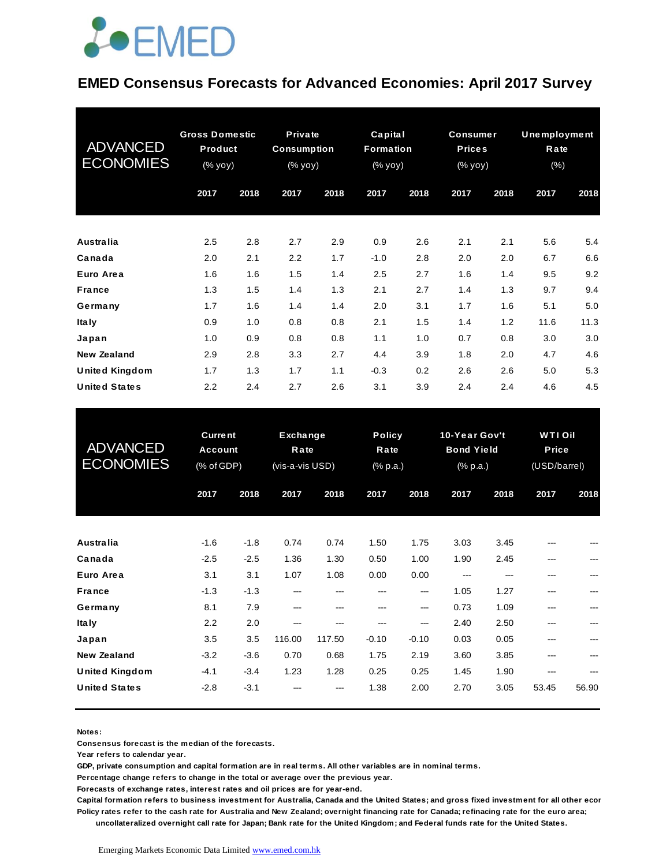### *<u>LOEMED</u>*

#### **EMED Consensus Forecasts for Advanced Economies: April 2017 Survey**

| <b>ADVANCED</b><br><b>ECONOMIES</b> | <b>Gross Domestic</b><br><b>Product</b><br>(% yoy) |      | Private<br><b>Consumption</b><br>$(% \mathsf{Y}^{\prime }\mathsf{Y}^{\prime }\mathsf{Y})$ (% $\mathsf{Y}^{\prime }\mathsf{Y})$ |      | Capital<br><b>Formation</b><br>(% yoy) |      | <b>Consumer</b><br><b>Prices</b><br>(% yoy) |      | <b>Unemployment</b><br>Rate<br>$(\% )$ |      |
|-------------------------------------|----------------------------------------------------|------|--------------------------------------------------------------------------------------------------------------------------------|------|----------------------------------------|------|---------------------------------------------|------|----------------------------------------|------|
|                                     | 2017                                               | 2018 | 2017                                                                                                                           | 2018 | 2017                                   | 2018 | 2017                                        | 2018 | 2017                                   | 2018 |
| Australia                           | 2.5                                                | 2.8  | 2.7                                                                                                                            | 2.9  | 0.9                                    | 2.6  | 2.1                                         | 2.1  | 5.6                                    | 5.4  |
| Canada                              | 2.0                                                | 2.1  | 2.2                                                                                                                            | 1.7  | $-1.0$                                 | 2.8  | 2.0                                         | 2.0  | 6.7                                    | 6.6  |
| Euro Area                           | 1.6                                                | 1.6  | 1.5                                                                                                                            | 1.4  | 2.5                                    | 2.7  | 1.6                                         | 1.4  | 9.5                                    | 9.2  |
| France                              | 1.3                                                | 1.5  | 1.4                                                                                                                            | 1.3  | 2.1                                    | 2.7  | 1.4                                         | 1.3  | 9.7                                    | 9.4  |
| Germany                             | 1.7                                                | 1.6  | 1.4                                                                                                                            | 1.4  | 2.0                                    | 3.1  | 1.7                                         | 1.6  | 5.1                                    | 5.0  |
| <b>Italy</b>                        | 0.9                                                | 1.0  | 0.8                                                                                                                            | 0.8  | 2.1                                    | 1.5  | 1.4                                         | 1.2  | 11.6                                   | 11.3 |
| Japan                               | 1.0                                                | 0.9  | 0.8                                                                                                                            | 0.8  | 1.1                                    | 1.0  | 0.7                                         | 0.8  | 3.0                                    | 3.0  |
| <b>New Zealand</b>                  | 2.9                                                | 2.8  | 3.3                                                                                                                            | 2.7  | 4.4                                    | 3.9  | 1.8                                         | 2.0  | 4.7                                    | 4.6  |
| <b>United Kingdom</b>               | 1.7                                                | 1.3  | 1.7                                                                                                                            | 1.1  | $-0.3$                                 | 0.2  | 2.6                                         | 2.6  | 5.0                                    | 5.3  |
| <b>United States</b>                | 2.2                                                | 2.4  | 2.7                                                                                                                            | 2.6  | 3.1                                    | 3.9  | 2.4                                         | 2.4  | 4.6                                    | 4.5  |

| <b>United States</b>                | 2.2                                            | 2.4    | 2.7                                 | 2.6    | 3.1                               | 3.9     | 2.4                                            | 2.4  | 4.6                                           | 4.5   |
|-------------------------------------|------------------------------------------------|--------|-------------------------------------|--------|-----------------------------------|---------|------------------------------------------------|------|-----------------------------------------------|-------|
| <b>ADVANCED</b><br><b>ECONOMIES</b> | <b>Current</b><br><b>Account</b><br>(% of GDP) |        | Exchange<br>Rate<br>(vis-a-vis USD) |        | <b>Policy</b><br>Rate<br>(% p.a.) |         | 10-Year Gov't<br><b>Bond Yield</b><br>(% p.a.) |      | <b>WTIOil</b><br><b>Price</b><br>(USD/barrel) |       |
|                                     | 2017                                           | 2018   | 2017                                | 2018   | 2017                              | 2018    | 2017                                           | 2018 | 2017                                          | 2018  |
| Australia                           | $-1.6$                                         | $-1.8$ | 0.74                                | 0.74   | 1.50                              | 1.75    | 3.03                                           | 3.45 |                                               |       |
| Canada                              | $-2.5$                                         | $-2.5$ | 1.36                                | 1.30   | 0.50                              | 1.00    | 1.90                                           | 2.45 | ---                                           |       |
| Euro Area                           | 3.1                                            | 3.1    | 1.07                                | 1.08   | 0.00                              | 0.00    | ---                                            |      | ---                                           |       |
| <b>France</b>                       | $-1.3$                                         | $-1.3$ | ---                                 | ---    | ---                               | ---     | 1.05                                           | 1.27 | $---$                                         |       |
| Germany                             | 8.1                                            | 7.9    | ---                                 | ---    | ---                               | ---     | 0.73                                           | 1.09 | ---                                           |       |
| <b>Italy</b>                        | 2.2                                            | 2.0    | ---                                 | ---    | ---                               | ---     | 2.40                                           | 2.50 | ---                                           |       |
| Japan                               | 3.5                                            | 3.5    | 116.00                              | 117.50 | $-0.10$                           | $-0.10$ | 0.03                                           | 0.05 | ---                                           |       |
| <b>New Zealand</b>                  | $-3.2$                                         | $-3.6$ | 0.70                                | 0.68   | 1.75                              | 2.19    | 3.60                                           | 3.85 |                                               |       |
| <b>United Kingdom</b>               | $-4.1$                                         | $-3.4$ | 1.23                                | 1.28   | 0.25                              | 0.25    | 1.45                                           | 1.90 |                                               |       |
| <b>United States</b>                | $-2.8$                                         | $-3.1$ |                                     |        | 1.38                              | 2.00    | 2.70                                           | 3.05 | 53.45                                         | 56.90 |

**Notes:** 

**Consensus forecast is the median of the forecasts.**

**Year refers to calendar year.**

**GDP, private consumption and capital formation are in real terms. All other variables are in nominal terms.**

**Percentage change refers to change in the total or average over the previous year.**

**Forecasts of exchange rates, interest rates and oil prices are for year-end.**

**Capital formation refers to business investment for Australia, Canada and the United States; and gross fixed investment for all other economies. Policy rates refer to the cash rate for Australia and New Zealand; overnight financing rate for Canada; refinacing rate for the euro area; uncollateralized overnight call rate for Japan; Bank rate for the United Kingdom; and Federal funds rate for the United States.**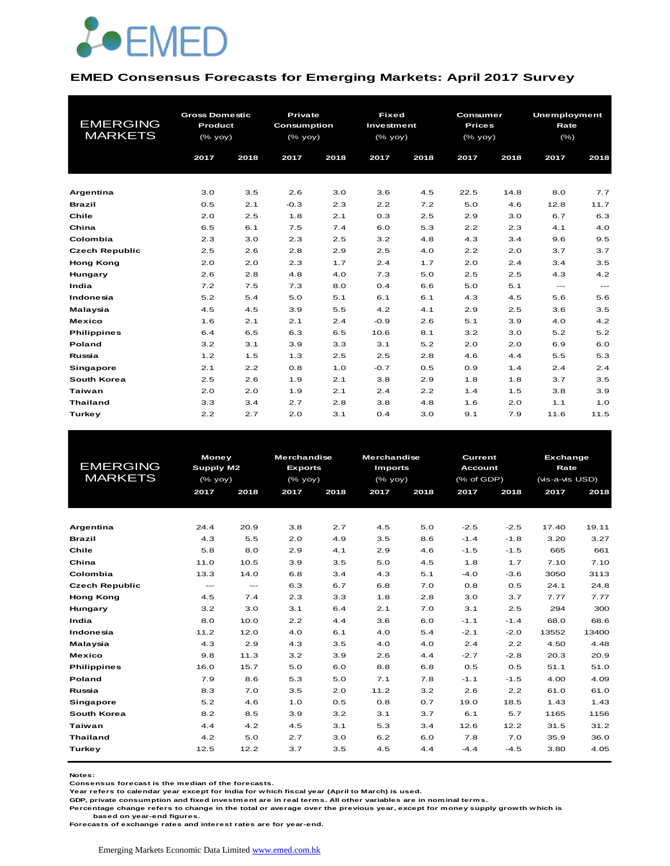

#### **EMED Consensus Forecasts for Emerging Markets: April 2017 Survey**

| <b>EMERGING</b><br><b>MARKETS</b> | <b>Gross Domestic</b><br><b>Product</b><br>(% yoy)<br>2017 | 2018 | Private<br>Consumption<br>(% yoy)<br>2017 | 2018 | <b>Fixed</b><br>Investment<br>(% yoy)<br>2017 | 2018 | Consumer<br><b>Prices</b><br>$(\%$ yoy)<br>2017 | 2018 | Unemployment<br>Rate<br>(% )<br>2017 | 2018  |
|-----------------------------------|------------------------------------------------------------|------|-------------------------------------------|------|-----------------------------------------------|------|-------------------------------------------------|------|--------------------------------------|-------|
| Argentina                         | 3.0                                                        | 3.5  | 2.6                                       | 3.0  | 3.6                                           | 4.5  | 22.5                                            | 14.8 | 8.0                                  | 7.7   |
| <b>Brazil</b>                     | 0.5                                                        | 2.1  | $-0.3$                                    | 2.3  | 2.2                                           | 7.2  | 5.0                                             | 4.6  | 12.8                                 | 11.7  |
| Chile                             | 2.0                                                        | 2.5  | 1.8                                       | 2.1  | 0.3                                           | 2.5  | 2.9                                             | 3.0  | 6.7                                  | 6.3   |
| China                             | 6.5                                                        | 6.1  | 7.5                                       | 7.4  | 6.0                                           | 5.3  | 2.2                                             | 2.3  | 4.1                                  | 4.0   |
| Colombia                          | 2.3                                                        | 3.0  | 2.3                                       | 2.5  | 3.2                                           | 4.8  | 4.3                                             | 3.4  | 9.6                                  | 9.5   |
| <b>Czech Republic</b>             | 2.5                                                        | 2.6  | 2.8                                       | 2.9  | 2.5                                           | 4.0  | 2.2                                             | 2.0  | 3.7                                  | 3.7   |
| <b>Hong Kong</b>                  | 2.0                                                        | 2.0  | 2.3                                       | 1.7  | 2.4                                           | 1.7  | 2.0                                             | 2.4  | 3.4                                  | 3.5   |
| Hungary                           | 2.6                                                        | 2.8  | 4.8                                       | 4.0  | 7.3                                           | 5.0  | 2.5                                             | 2.5  | 4.3                                  | 4.2   |
| India                             | 7.2                                                        | 7.5  | 7.3                                       | 8.0  | 0.4                                           | 6.6  | 5.0                                             | 5.1  | $---$                                | $---$ |
| Indonesia                         | 5.2                                                        | 5.4  | 5.0                                       | 5.1  | 6.1                                           | 6.1  | 4.3                                             | 4.5  | 5.6                                  | 5.6   |
| Malaysia                          | 4.5                                                        | 4.5  | 3.9                                       | 5.5  | 4.2                                           | 4.1  | 2.9                                             | 2.5  | 3.6                                  | 3.5   |
| <b>Mexico</b>                     | 1.6                                                        | 2.1  | 2.1                                       | 2.4  | $-0.9$                                        | 2.6  | 5.1                                             | 3.9  | 4.0                                  | 4.2   |
| <b>Philippines</b>                | 6.4                                                        | 6.5  | 6.3                                       | 6.5  | 10.6                                          | 8.1  | 3.2                                             | 3.0  | 5.2                                  | 5.2   |
| Poland                            | 3.2                                                        | 3.1  | 3.9                                       | 3.3  | 3.1                                           | 5.2  | 2.0                                             | 2.0  | 6.9                                  | 6.0   |
| Russia                            | 1.2                                                        | 1.5  | 1.3                                       | 2.5  | 2.5                                           | 2.8  | 4.6                                             | 4.4  | 5.5                                  | 5.3   |
| <b>Singapore</b>                  | 2.1                                                        | 2.2  | 0.8                                       | 1.0  | $-0.7$                                        | 0.5  | 0.9                                             | 1.4  | 2.4                                  | 2.4   |
| South Korea                       | 2.5                                                        | 2.6  | 1.9                                       | 2.1  | 3.8                                           | 2.9  | 1.8                                             | 1.8  | 3.7                                  | 3.5   |
| Taiwan                            | 2.0                                                        | 2.0  | 1.9                                       | 2.1  | 2.4                                           | 2.2  | 1.4                                             | 1.5  | 3.8                                  | 3.9   |
| <b>Thailand</b>                   | 3.3                                                        | 3.4  | 2.7                                       | 2.8  | 3.8                                           | 4.8  | 1.6                                             | 2.0  | 1.1                                  | 1.0   |
| Turkey                            | 2.2                                                        | 2.7  | 2.0                                       | 3.1  | 0.4                                           | 3.0  | 9.1                                             | 7.9  | 11.6                                 | 11.5  |

|                       | <b>Money</b> |                           | <b>Merchandise</b> |         | <b>Merchandise</b> |      | <b>Current</b> |        | <b>Exchange</b> |       |
|-----------------------|--------------|---------------------------|--------------------|---------|--------------------|------|----------------|--------|-----------------|-------|
| <b>EMERGING</b>       | Supply M2    |                           | <b>Exports</b>     |         | <b>Imports</b>     |      | <b>Account</b> |        | Rate            |       |
| <b>MARKETS</b>        |              | $(\%$ yoy)                |                    | (% yoy) | $(\%$ yoy)         |      | (% of GDP)     |        | (vis-a-vis USD) |       |
|                       | 2017         | 2018                      | 2017               | 2018    | 2017               | 2018 | 2017           | 2018   | 2017            | 2018  |
|                       |              |                           |                    |         |                    |      |                |        |                 |       |
|                       |              |                           |                    |         |                    |      |                |        |                 |       |
| Argentina             | 24.4         | 20.9                      | 3.8                | 2.7     | 4.5                | 5.0  | $-2.5$         | $-2.5$ | 17.40           | 19.11 |
| <b>Brazil</b>         | 4.3          | 5.5                       | 2.0                | 4.9     | 3.5                | 8.6  | $-1.4$         | $-1.8$ | 3.20            | 3.27  |
| Chile                 | 5.8          | 8.0                       | 2.9                | 4.1     | 2.9                | 4.6  | $-1.5$         | $-1.5$ | 665             | 661   |
| China                 | 11.0         | 10.5                      | 3.9                | 3.5     | 5.0                | 4.5  | 1.8            | 1.7    | 7.10            | 7.10  |
| Colombia              | 13.3         | 14.0                      | 6.8                | 3.4     | 4.3                | 5.1  | $-4.0$         | $-3.6$ | 3050            | 3113  |
| <b>Czech Republic</b> | $---$        | $\qquad \qquad -\qquad -$ | 6.3                | 6.7     | 6.8                | 7.0  | 0.8            | 0.5    | 24.1            | 24.8  |
| <b>Hong Kong</b>      | 4.5          | 7.4                       | 2.3                | 3.3     | 1.8                | 2.8  | 3.0            | 3.7    | 7.77            | 7.77  |
| Hungary               | 3.2          | 3.0                       | 3.1                | 6.4     | 2.1                | 7.0  | 3.1            | 2.5    | 294             | 300   |
| India                 | 8.0          | 10.0                      | 2.2                | 4.4     | 3.6                | 6.0  | $-1.1$         | $-1.4$ | 68.0            | 68.6  |
| Indonesia             | 11.2         | 12.0                      | 4.0                | 6.1     | 4.0                | 5.4  | $-2.1$         | $-2.0$ | 13552           | 13400 |
| Malaysia              | 4.3          | 2.9                       | 4.3                | 3.5     | 4.0                | 4.0  | 2.4            | 2.2    | 4.50            | 4.48  |
| <b>Mexico</b>         | 9.8          | 11.3                      | 3.2                | 3.9     | 2.6                | 4.4  | $-2.7$         | $-2.8$ | 20.3            | 20.9  |
| <b>Philippines</b>    | 16.0         | 15.7                      | 5.0                | 6.0     | 8.8                | 6.8  | 0.5            | 0.5    | 51.1            | 51.0  |
| Poland                | 7.9          | 8.6                       | 5.3                | 5.0     | 7.1                | 7.8  | $-1.1$         | $-1.5$ | 4.00            | 4.09  |
| Russia                | 8.3          | 7.0                       | 3.5                | 2.0     | 11.2               | 3.2  | 2.6            | 2.2    | 61.0            | 61.0  |
| <b>Singapore</b>      | 5.2          | 4.6                       | 1.0                | 0.5     | 0.8                | 0.7  | 19.0           | 18.5   | 1.43            | 1.43  |
| South Korea           | 8.2          | 8.5                       | 3.9                | 3.2     | 3.1                | 3.7  | 6.1            | 5.7    | 1165            | 1156  |
| Taiwan                | 4.4          | 4.2                       | 4.5                | 3.1     | 5.3                | 3.4  | 12.6           | 12.2   | 31.5            | 31.2  |
| <b>Thailand</b>       | 4.2          | 5.0                       | 2.7                | 3.0     | 6.2                | 6.0  | 7.8            | 7.0    | 35.9            | 36.0  |
| Turkey                | 12.5         | 12.2                      | 3.7                | 3.5     | 4.5                | 4.4  | $-4.4$         | $-4.5$ | 3.80            | 4.05  |
|                       |              |                           |                    |         |                    |      |                |        |                 |       |

**Notes:** 

**Consensus forecast is the median of the forecasts.**

**Year refers to calendar year except for India for which fiscal year (April to March) is used.**

**GDP, private consumption and fixed investment are in real terms. All other variables are in nominal terms.**

**Percentage change refers to change in the total or average over the previous year, except for money supply growth which is** 

 **based on year-end figures.**

**Forecasts of exchange rates and interest rates are for year-end.**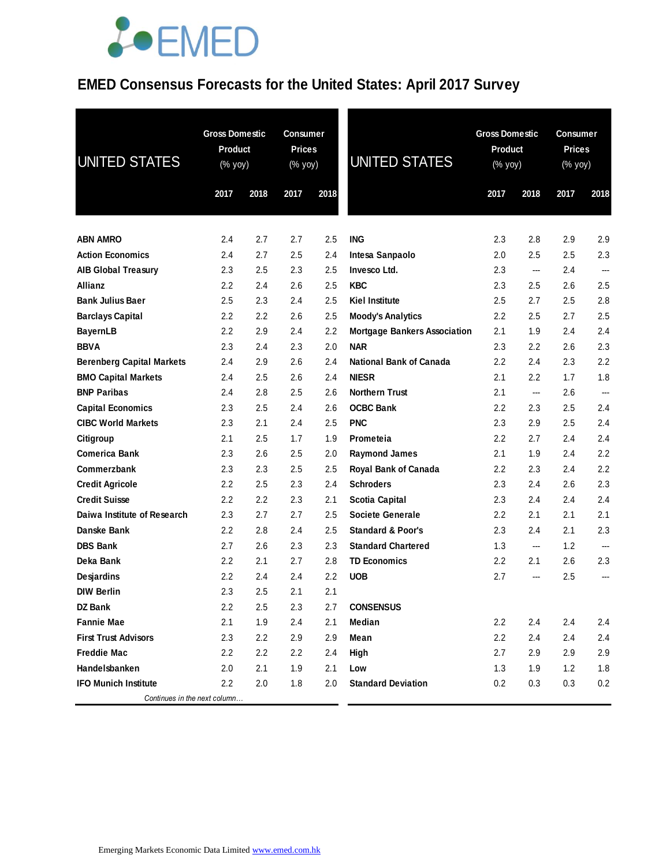### **EMED Consensus Forecasts for the United States: April 2017 Survey**

| UNITED STATES                    | <b>Gross Domestic</b><br><b>Product</b><br>(% yoy) |      | <b>Consumer</b><br><b>Prices</b><br>(% yoy) |      | <b>UNITED STATES</b>                | <b>Gross Domestic</b><br><b>Product</b><br>(% yoy) |                          | <b>Consumer</b><br><b>Prices</b><br>(% yoy) |                          |
|----------------------------------|----------------------------------------------------|------|---------------------------------------------|------|-------------------------------------|----------------------------------------------------|--------------------------|---------------------------------------------|--------------------------|
|                                  | 2017                                               | 2018 | 2017                                        | 2018 |                                     | 2017                                               | 2018                     | 2017                                        | 2018                     |
| <b>ABN AMRO</b>                  | 2.4                                                | 2.7  | 2.7                                         | 2.5  | <b>ING</b>                          | 2.3                                                | 2.8                      | 2.9                                         | 2.9                      |
| <b>Action Economics</b>          | 2.4                                                | 2.7  | 2.5                                         | 2.4  | Intesa Sanpaolo                     | 2.0                                                | 2.5                      | 2.5                                         | 2.3                      |
| <b>AIB Global Treasury</b>       | 2.3                                                | 2.5  | 2.3                                         | 2.5  | Invesco Ltd.                        | 2.3                                                | ---                      | 2.4                                         | $\overline{\phantom{a}}$ |
| <b>Allianz</b>                   | 2.2                                                | 2.4  | 2.6                                         | 2.5  | <b>KBC</b>                          | 2.3                                                | 2.5                      | 2.6                                         | 2.5                      |
| <b>Bank Julius Baer</b>          | 2.5                                                | 2.3  | 2.4                                         | 2.5  | <b>Kiel Institute</b>               | 2.5                                                | 2.7                      | $2.5\,$                                     | 2.8                      |
| <b>Barclays Capital</b>          | $2.2\phantom{0}$                                   | 2.2  | 2.6                                         | 2.5  | <b>Moody's Analytics</b>            | 2.2                                                | 2.5                      | 2.7                                         | 2.5                      |
| <b>BayernLB</b>                  | 2.2                                                | 2.9  | 2.4                                         | 2.2  | <b>Mortgage Bankers Association</b> | 2.1                                                | 1.9                      | 2.4                                         | 2.4                      |
| <b>BBVA</b>                      | 2.3                                                | 2.4  | 2.3                                         | 2.0  | <b>NAR</b>                          | 2.3                                                | 2.2                      | 2.6                                         | 2.3                      |
| <b>Berenberg Capital Markets</b> | 2.4                                                | 2.9  | 2.6                                         | 2.4  | <b>National Bank of Canada</b>      | 2.2                                                | 2.4                      | 2.3                                         | 2.2                      |
| <b>BMO Capital Markets</b>       | 2.4                                                | 2.5  | 2.6                                         | 2.4  | <b>NIESR</b>                        | 2.1                                                | 2.2                      | 1.7                                         | 1.8                      |
| <b>BNP Paribas</b>               | 2.4                                                | 2.8  | 2.5                                         | 2.6  | <b>Northern Trust</b>               | 2.1                                                | ---                      | 2.6                                         | ---                      |
| <b>Capital Economics</b>         | 2.3                                                | 2.5  | 2.4                                         | 2.6  | <b>OCBC Bank</b>                    | 2.2                                                | 2.3                      | 2.5                                         | 2.4                      |
| <b>CIBC World Markets</b>        | 2.3                                                | 2.1  | 2.4                                         | 2.5  | <b>PNC</b>                          | 2.3                                                | 2.9                      | 2.5                                         | 2.4                      |
| Citigroup                        | 2.1                                                | 2.5  | 1.7                                         | 1.9  | Prometeia                           | 2.2                                                | 2.7                      | 2.4                                         | 2.4                      |
| <b>Comerica Bank</b>             | 2.3                                                | 2.6  | 2.5                                         | 2.0  | <b>Raymond James</b>                | 2.1                                                | 1.9                      | 2.4                                         | 2.2                      |
| Commerzbank                      | 2.3                                                | 2.3  | 2.5                                         | 2.5  | Royal Bank of Canada                | 2.2                                                | 2.3                      | 2.4                                         | 2.2                      |
| <b>Credit Agricole</b>           | 2.2                                                | 2.5  | 2.3                                         | 2.4  | <b>Schroders</b>                    | 2.3                                                | 2.4                      | 2.6                                         | 2.3                      |
| <b>Credit Suisse</b>             | $2.2\phantom{0}$                                   | 2.2  | 2.3                                         | 2.1  | <b>Scotia Capital</b>               | 2.3                                                | 2.4                      | 2.4                                         | 2.4                      |
| Daiwa Institute of Research      | 2.3                                                | 2.7  | 2.7                                         | 2.5  | Societe Generale                    | 2.2                                                | 2.1                      | 2.1                                         | 2.1                      |
| Danske Bank                      | 2.2                                                | 2.8  | 2.4                                         | 2.5  | <b>Standard &amp; Poor's</b>        | 2.3                                                | 2.4                      | 2.1                                         | 2.3                      |
| <b>DBS Bank</b>                  | 2.7                                                | 2.6  | 2.3                                         | 2.3  | <b>Standard Chartered</b>           | 1.3                                                | $\overline{\phantom{a}}$ | 1.2                                         | $\overline{\phantom{a}}$ |
| Deka Bank                        | 2.2                                                | 2.1  | 2.7                                         | 2.8  | <b>TD Economics</b>                 | 2.2                                                | 2.1                      | 2.6                                         | 2.3                      |
| Desjardins                       | 2.2                                                | 2.4  | 2.4                                         | 2.2  | <b>UOB</b>                          | 2.7                                                | ---                      | 2.5                                         | ---                      |
| <b>DIW Berlin</b>                | 2.3                                                | 2.5  | 2.1                                         | 2.1  |                                     |                                                    |                          |                                             |                          |
| <b>DZ Bank</b>                   | 2.2                                                | 2.5  | 2.3                                         | 2.7  | <b>CONSENSUS</b>                    |                                                    |                          |                                             |                          |
| <b>Fannie Mae</b>                | 2.1                                                | 1.9  | 2.4                                         | 2.1  | Median                              | 2.2                                                | 2.4                      | 2.4                                         | 2.4                      |
| <b>First Trust Advisors</b>      | 2.3                                                | 2.2  | 2.9                                         | 2.9  | Mean                                | 2.2                                                | 2.4                      | 2.4                                         | 2.4                      |
| <b>Freddie Mac</b>               | 2.2                                                | 2.2  | 2.2                                         | 2.4  | High                                | 2.7                                                | 2.9                      | 2.9                                         | 2.9                      |
| Handelsbanken                    | 2.0                                                | 2.1  | 1.9                                         | 2.1  | Low                                 | 1.3                                                | 1.9                      | 1.2                                         | 1.8                      |
| <b>IFO Munich Institute</b>      | 2.2                                                | 2.0  | 1.8                                         | 2.0  | <b>Standard Deviation</b>           | 0.2                                                | 0.3                      | 0.3                                         | 0.2                      |
| Continues in the next column     |                                                    |      |                                             |      |                                     |                                                    |                          |                                             |                          |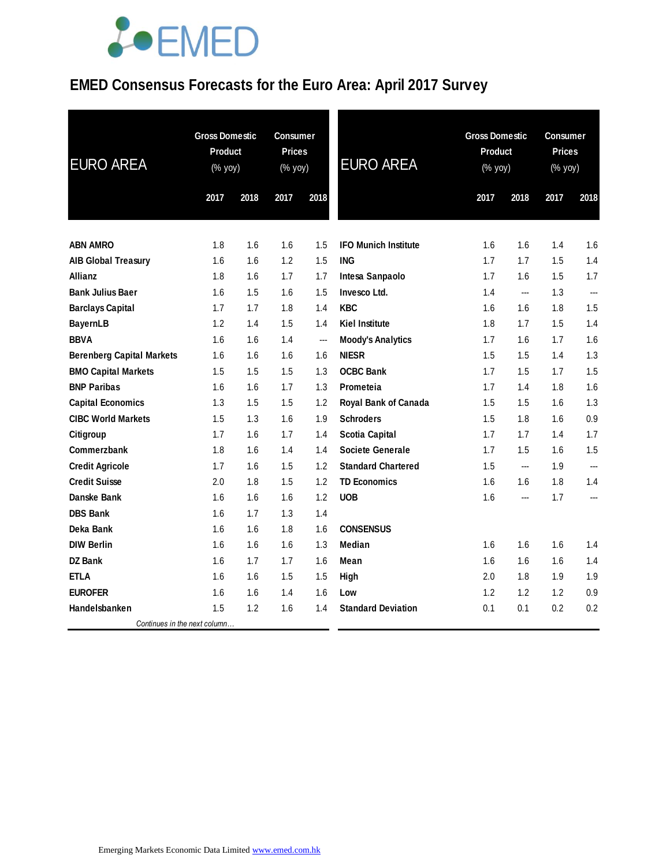### **EMED Consensus Forecasts for the Euro Area: April 2017 Survey**

| <b>EURO AREA</b>                 |      | <b>Gross Domestic</b><br><b>Product</b><br>(% yoy) |      | <b>Consumer</b><br><b>Prices</b><br>(% yoy) | <b>EURO AREA</b>            | <b>Gross Domestic</b><br><b>Product</b><br>(% yoy) |      | <b>Consumer</b><br><b>Prices</b><br>(% yoy) |      |
|----------------------------------|------|----------------------------------------------------|------|---------------------------------------------|-----------------------------|----------------------------------------------------|------|---------------------------------------------|------|
|                                  | 2017 | 2018                                               | 2017 | 2018                                        |                             | 2017                                               | 2018 | 2017                                        | 2018 |
| <b>ABN AMRO</b>                  | 1.8  | 1.6                                                | 1.6  | 1.5                                         | <b>IFO Munich Institute</b> | 1.6                                                | 1.6  | 1.4                                         | 1.6  |
| <b>AIB Global Treasury</b>       | 1.6  | 1.6                                                | 1.2  | 1.5                                         | <b>ING</b>                  | 1.7                                                | 1.7  | 1.5                                         | 1.4  |
| <b>Allianz</b>                   | 1.8  | 1.6                                                | 1.7  | 1.7                                         | Intesa Sanpaolo             | 1.7                                                | 1.6  | 1.5                                         | 1.7  |
| <b>Bank Julius Baer</b>          | 1.6  | 1.5                                                | 1.6  | 1.5                                         | Invesco Ltd.                | 1.4                                                | ---  | 1.3                                         | ---  |
| <b>Barclays Capital</b>          | 1.7  | 1.7                                                | 1.8  | 1.4                                         | <b>KBC</b>                  | 1.6                                                | 1.6  | 1.8                                         | 1.5  |
| <b>BayernLB</b>                  | 1.2  | 1.4                                                | 1.5  | 1.4                                         | <b>Kiel Institute</b>       | 1.8                                                | 1.7  | 1.5                                         | 1.4  |
| <b>BBVA</b>                      | 1.6  | 1.6                                                | 1.4  | ---                                         | <b>Moody's Analytics</b>    | 1.7                                                | 1.6  | 1.7                                         | 1.6  |
| <b>Berenberg Capital Markets</b> | 1.6  | 1.6                                                | 1.6  | 1.6                                         | <b>NIESR</b>                | 1.5                                                | 1.5  | 1.4                                         | 1.3  |
| <b>BMO Capital Markets</b>       | 1.5  | 1.5                                                | 1.5  | 1.3                                         | <b>OCBC Bank</b>            | 1.7                                                | 1.5  | 1.7                                         | 1.5  |
| <b>BNP Paribas</b>               | 1.6  | 1.6                                                | 1.7  | 1.3                                         | Prometeia                   | 1.7                                                | 1.4  | 1.8                                         | 1.6  |
| <b>Capital Economics</b>         | 1.3  | 1.5                                                | 1.5  | 1.2                                         | Royal Bank of Canada        | 1.5                                                | 1.5  | 1.6                                         | 1.3  |
| <b>CIBC World Markets</b>        | 1.5  | 1.3                                                | 1.6  | 1.9                                         | <b>Schroders</b>            | 1.5                                                | 1.8  | 1.6                                         | 0.9  |
| Citigroup                        | 1.7  | 1.6                                                | 1.7  | 1.4                                         | <b>Scotia Capital</b>       | 1.7                                                | 1.7  | 1.4                                         | 1.7  |
| Commerzbank                      | 1.8  | 1.6                                                | 1.4  | 1.4                                         | <b>Societe Generale</b>     | 1.7                                                | 1.5  | 1.6                                         | 1.5  |
| <b>Credit Agricole</b>           | 1.7  | 1.6                                                | 1.5  | 1.2                                         | <b>Standard Chartered</b>   | 1.5                                                | ---  | 1.9                                         | ---  |
| <b>Credit Suisse</b>             | 2.0  | 1.8                                                | 1.5  | 1.2                                         | <b>TD Economics</b>         | 1.6                                                | 1.6  | 1.8                                         | 1.4  |
| Danske Bank                      | 1.6  | 1.6                                                | 1.6  | 1.2                                         | <b>UOB</b>                  | 1.6                                                | ---  | 1.7                                         | ---  |
| <b>DBS Bank</b>                  | 1.6  | 1.7                                                | 1.3  | 1.4                                         |                             |                                                    |      |                                             |      |
| Deka Bank                        | 1.6  | 1.6                                                | 1.8  | 1.6                                         | <b>CONSENSUS</b>            |                                                    |      |                                             |      |
| <b>DIW Berlin</b>                | 1.6  | 1.6                                                | 1.6  | 1.3                                         | <b>Median</b>               | 1.6                                                | 1.6  | 1.6                                         | 1.4  |
| <b>DZ Bank</b>                   | 1.6  | 1.7                                                | 1.7  | 1.6                                         | Mean                        | 1.6                                                | 1.6  | 1.6                                         | 1.4  |
| <b>ETLA</b>                      | 1.6  | 1.6                                                | 1.5  | 1.5                                         | High                        | 2.0                                                | 1.8  | 1.9                                         | 1.9  |
| <b>EUROFER</b>                   | 1.6  | 1.6                                                | 1.4  | 1.6                                         | Low                         | 1.2                                                | 1.2  | 1.2                                         | 0.9  |
| Handelsbanken                    | 1.5  | 1.2                                                | 1.6  | 1.4                                         | <b>Standard Deviation</b>   | 0.1                                                | 0.1  | 0.2                                         | 0.2  |
| Continues in the next column     |      |                                                    |      |                                             |                             |                                                    |      |                                             |      |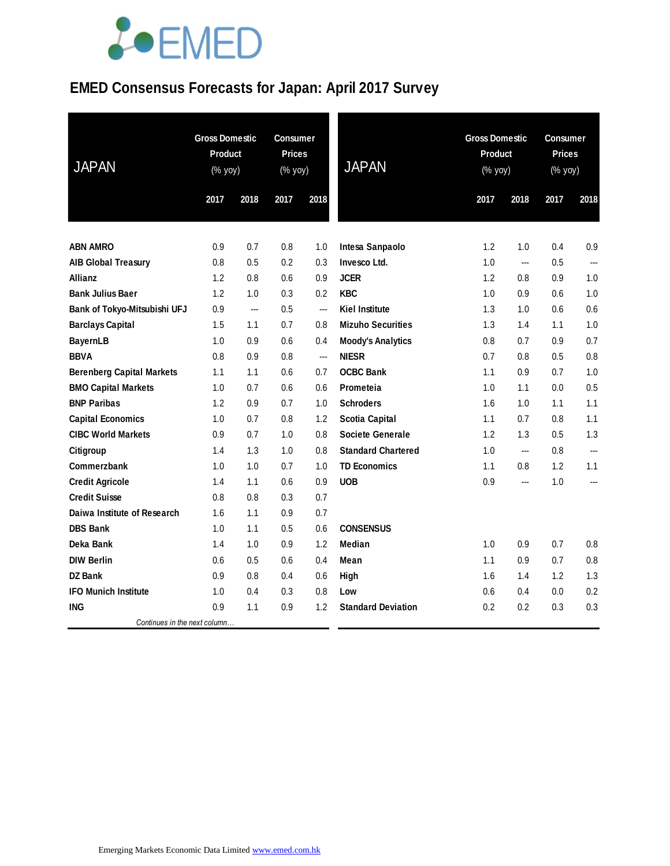### **EMED Consensus Forecasts for Japan: April 2017 Survey**

| <b>JAPAN</b>                     | <b>Gross Domestic</b><br>Product<br>$(% \mathsf{Y}^{\prime }\mathsf{Y}^{\prime }\mathsf{Y}^{\prime })$ |      | <b>Consumer</b><br><b>Prices</b><br>(% yoy) |                | <b>JAPAN</b>              | <b>Gross Domestic</b><br>Product<br>(% yoy) |      |      | <b>Consumer</b><br><b>Prices</b><br>(% yoy) |  |
|----------------------------------|--------------------------------------------------------------------------------------------------------|------|---------------------------------------------|----------------|---------------------------|---------------------------------------------|------|------|---------------------------------------------|--|
|                                  | 2017                                                                                                   | 2018 | 2017                                        | 2018           |                           | 2017                                        | 2018 | 2017 | 2018                                        |  |
| <b>ABN AMRO</b>                  | 0.9                                                                                                    | 0.7  | 0.8                                         | 1.0            | Intesa Sanpaolo           | 1.2                                         | 1.0  | 0.4  | 0.9                                         |  |
| <b>AIB Global Treasury</b>       | 0.8                                                                                                    | 0.5  | 0.2                                         | 0.3            | Invesco Ltd.              | 1.0                                         | ---  | 0.5  | $\overline{a}$                              |  |
| <b>Allianz</b>                   | 1.2                                                                                                    | 0.8  | 0.6                                         | 0.9            | <b>JCER</b>               | 1.2                                         | 0.8  | 0.9  | 1.0                                         |  |
| <b>Bank Julius Baer</b>          | 1.2                                                                                                    | 1.0  | 0.3                                         | 0.2            | <b>KBC</b>                | 1.0                                         | 0.9  | 0.6  | 1.0                                         |  |
| Bank of Tokyo-Mitsubishi UFJ     | 0.9                                                                                                    | ---  | 0.5                                         | ---            | <b>Kiel Institute</b>     | 1.3                                         | 1.0  | 0.6  | 0.6                                         |  |
| <b>Barclays Capital</b>          | 1.5                                                                                                    | 1.1  | 0.7                                         | 0.8            | <b>Mizuho Securities</b>  | 1.3                                         | 1.4  | 1.1  | 1.0                                         |  |
| <b>BayernLB</b>                  | 1.0                                                                                                    | 0.9  | 0.6                                         | 0.4            | <b>Moody's Analytics</b>  | 0.8                                         | 0.7  | 0.9  | 0.7                                         |  |
| <b>BBVA</b>                      | 0.8                                                                                                    | 0.9  | 0.8                                         | $\overline{a}$ | <b>NIESR</b>              | 0.7                                         | 0.8  | 0.5  | 0.8                                         |  |
| <b>Berenberg Capital Markets</b> | 1.1                                                                                                    | 1.1  | 0.6                                         | 0.7            | <b>OCBC Bank</b>          | 1.1                                         | 0.9  | 0.7  | 1.0                                         |  |
| <b>BMO Capital Markets</b>       | 1.0                                                                                                    | 0.7  | 0.6                                         | 0.6            | Prometeia                 | 1.0                                         | 1.1  | 0.0  | 0.5                                         |  |
| <b>BNP Paribas</b>               | 1.2                                                                                                    | 0.9  | 0.7                                         | 1.0            | <b>Schroders</b>          | 1.6                                         | 1.0  | 1.1  | 1.1                                         |  |
| <b>Capital Economics</b>         | 1.0                                                                                                    | 0.7  | 0.8                                         | 1.2            | <b>Scotia Capital</b>     | 1.1                                         | 0.7  | 0.8  | 1.1                                         |  |
| <b>CIBC World Markets</b>        | 0.9                                                                                                    | 0.7  | 1.0                                         | 0.8            | <b>Societe Generale</b>   | 1.2                                         | 1.3  | 0.5  | 1.3                                         |  |
| Citigroup                        | 1.4                                                                                                    | 1.3  | 1.0                                         | 0.8            | <b>Standard Chartered</b> | 1.0                                         | ---  | 0.8  | ---                                         |  |
| <b>Commerzbank</b>               | 1.0                                                                                                    | 1.0  | 0.7                                         | 1.0            | <b>TD Economics</b>       | 1.1                                         | 0.8  | 1.2  | 1.1                                         |  |
| <b>Credit Agricole</b>           | 1.4                                                                                                    | 1.1  | 0.6                                         | 0.9            | <b>UOB</b>                | 0.9                                         | ---  | 1.0  | ---                                         |  |
| <b>Credit Suisse</b>             | 0.8                                                                                                    | 0.8  | 0.3                                         | 0.7            |                           |                                             |      |      |                                             |  |
| Daiwa Institute of Research      | 1.6                                                                                                    | 1.1  | 0.9                                         | 0.7            |                           |                                             |      |      |                                             |  |
| <b>DBS Bank</b>                  | 1.0                                                                                                    | 1.1  | 0.5                                         | 0.6            | <b>CONSENSUS</b>          |                                             |      |      |                                             |  |
| Deka Bank                        | 1.4                                                                                                    | 1.0  | 0.9                                         | 1.2            | Median                    | 1.0                                         | 0.9  | 0.7  | 0.8                                         |  |
| <b>DIW Berlin</b>                | 0.6                                                                                                    | 0.5  | 0.6                                         | 0.4            | Mean                      | 1.1                                         | 0.9  | 0.7  | 0.8                                         |  |
| <b>DZ Bank</b>                   | 0.9                                                                                                    | 0.8  | 0.4                                         | 0.6            | High                      | 1.6                                         | 1.4  | 1.2  | 1.3                                         |  |
| <b>IFO Munich Institute</b>      | 1.0                                                                                                    | 0.4  | 0.3                                         | 0.8            | Low                       | 0.6                                         | 0.4  | 0.0  | 0.2                                         |  |
| <b>ING</b>                       | 0.9                                                                                                    | 1.1  | 0.9                                         | 1.2            | <b>Standard Deviation</b> | 0.2                                         | 0.2  | 0.3  | 0.3                                         |  |
| Continues in the next column     |                                                                                                        |      |                                             |                |                           |                                             |      |      |                                             |  |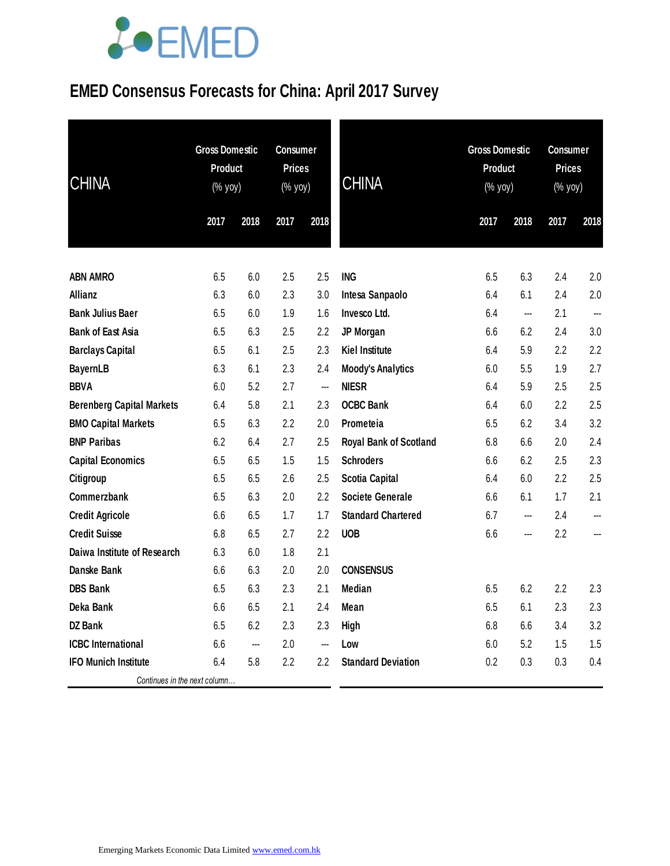### **EMED Consensus Forecasts for China: April 2017 Survey**

| <b>CHINA</b>                     | <b>Gross Domestic</b><br><b>Product</b><br>$(\%$ yoy) |      | <b>Consumer</b><br><b>Prices</b><br>(% yoy)<br>2017 | 2018 | <b>CHINA</b>              | <b>Gross Domestic</b><br><b>Product</b><br>(% yoy)<br>2017 | 2018           | <b>Consumer</b><br><b>Prices</b><br>$(% \mathsf{Y}^{\prime }\mathsf{Y}^{\prime }\mathsf{Y}^{\prime })$<br>2017 | 2018 |
|----------------------------------|-------------------------------------------------------|------|-----------------------------------------------------|------|---------------------------|------------------------------------------------------------|----------------|----------------------------------------------------------------------------------------------------------------|------|
|                                  | 2017                                                  | 2018 |                                                     |      |                           |                                                            |                |                                                                                                                |      |
|                                  |                                                       |      |                                                     |      |                           |                                                            |                |                                                                                                                |      |
| <b>ABN AMRO</b>                  | 6.5                                                   | 6.0  | 2.5                                                 | 2.5  | <b>ING</b>                | 6.5                                                        | 6.3            | 2.4                                                                                                            | 2.0  |
| <b>Allianz</b>                   | 6.3                                                   | 6.0  | 2.3                                                 | 3.0  | Intesa Sanpaolo           | 6.4                                                        | 6.1            | 2.4                                                                                                            | 2.0  |
| <b>Bank Julius Baer</b>          | 6.5                                                   | 6.0  | 1.9                                                 | 1.6  | Invesco Ltd.              | 6.4                                                        | $\overline{a}$ | 2.1                                                                                                            | ---  |
| <b>Bank of East Asia</b>         | 6.5                                                   | 6.3  | 2.5                                                 | 2.2  | JP Morgan                 | 6.6                                                        | 6.2            | 2.4                                                                                                            | 3.0  |
| <b>Barclays Capital</b>          | 6.5                                                   | 6.1  | 2.5                                                 | 2.3  | <b>Kiel Institute</b>     | 6.4                                                        | 5.9            | 2.2                                                                                                            | 2.2  |
| <b>BayernLB</b>                  | 6.3                                                   | 6.1  | 2.3                                                 | 2.4  | <b>Moody's Analytics</b>  | 6.0                                                        | 5.5            | 1.9                                                                                                            | 2.7  |
| <b>BBVA</b>                      | 6.0                                                   | 5.2  | 2.7                                                 |      | <b>NIESR</b>              | 6.4                                                        | 5.9            | 2.5                                                                                                            | 2.5  |
| <b>Berenberg Capital Markets</b> | 6.4                                                   | 5.8  | 2.1                                                 | 2.3  | <b>OCBC Bank</b>          | 6.4                                                        | 6.0            | 2.2                                                                                                            | 2.5  |
| <b>BMO Capital Markets</b>       | 6.5                                                   | 6.3  | 2.2                                                 | 2.0  | Prometeia                 | 6.5                                                        | 6.2            | 3.4                                                                                                            | 3.2  |
| <b>BNP Paribas</b>               | 6.2                                                   | 6.4  | 2.7                                                 | 2.5  | Royal Bank of Scotland    | 6.8                                                        | 6.6            | 2.0                                                                                                            | 2.4  |
| <b>Capital Economics</b>         | 6.5                                                   | 6.5  | 1.5                                                 | 1.5  | <b>Schroders</b>          | 6.6                                                        | 6.2            | 2.5                                                                                                            | 2.3  |
| Citigroup                        | 6.5                                                   | 6.5  | 2.6                                                 | 2.5  | <b>Scotia Capital</b>     | 6.4                                                        | 6.0            | 2.2                                                                                                            | 2.5  |
| Commerzbank                      | 6.5                                                   | 6.3  | 2.0                                                 | 2.2  | <b>Societe Generale</b>   | 6.6                                                        | 6.1            | 1.7                                                                                                            | 2.1  |
| <b>Credit Agricole</b>           | 6.6                                                   | 6.5  | 1.7                                                 | 1.7  | <b>Standard Chartered</b> | 6.7                                                        | ---            | 2.4                                                                                                            | ---  |
| <b>Credit Suisse</b>             | 6.8                                                   | 6.5  | 2.7                                                 | 2.2  | <b>UOB</b>                | 6.6                                                        | ---            | 2.2                                                                                                            | ---  |
| Daiwa Institute of Research      | 6.3                                                   | 6.0  | 1.8                                                 | 2.1  |                           |                                                            |                |                                                                                                                |      |
| <b>Danske Bank</b>               | 6.6                                                   | 6.3  | 2.0                                                 | 2.0  | <b>CONSENSUS</b>          |                                                            |                |                                                                                                                |      |
| <b>DBS Bank</b>                  | 6.5                                                   | 6.3  | 2.3                                                 | 2.1  | Median                    | 6.5                                                        | 6.2            | 2.2                                                                                                            | 2.3  |
| Deka Bank                        | 6.6                                                   | 6.5  | 2.1                                                 | 2.4  | Mean                      | 6.5                                                        | 6.1            | 2.3                                                                                                            | 2.3  |
| <b>DZ</b> Bank                   | 6.5                                                   | 6.2  | 2.3                                                 | 2.3  | High                      | 6.8                                                        | 6.6            | 3.4                                                                                                            | 3.2  |
| <b>ICBC</b> International        | 6.6                                                   | ---  | 2.0                                                 | ---  | Low                       | 6.0                                                        | 5.2            | 1.5                                                                                                            | 1.5  |
| <b>IFO Munich Institute</b>      | 6.4                                                   | 5.8  | $2.2\,$                                             | 2.2  | <b>Standard Deviation</b> | 0.2                                                        | 0.3            | 0.3                                                                                                            | 0.4  |
| Continues in the next column     |                                                       |      |                                                     |      |                           |                                                            |                |                                                                                                                |      |